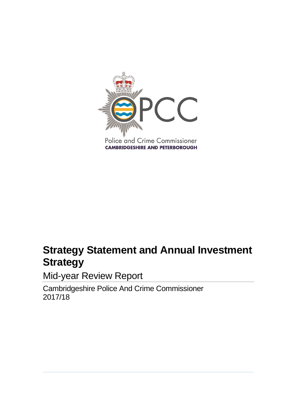

# **Strategy Statement and Annual Investment Strategy**

Mid-year Review Report

Cambridgeshire Police And Crime Commissioner 2017/18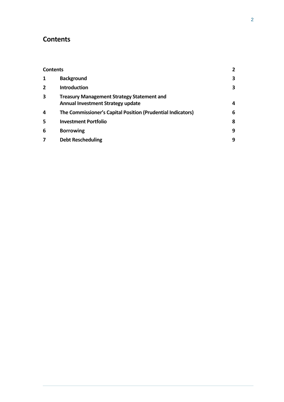## <span id="page-1-0"></span>**Contents**

| <b>Contents</b> |                                                                                               | $\overline{2}$ |
|-----------------|-----------------------------------------------------------------------------------------------|----------------|
| 1               | <b>Background</b>                                                                             | 3              |
| $\overline{2}$  | <b>Introduction</b>                                                                           | 3              |
| 3               | <b>Treasury Management Strategy Statement and</b><br><b>Annual Investment Strategy update</b> | 4              |
| 4               | The Commissioner's Capital Position (Prudential Indicators)                                   | 6              |
| 5               | <b>Investment Portfolio</b>                                                                   | 8              |
| 6               | <b>Borrowing</b>                                                                              | 9              |
| 7               | <b>Debt Rescheduling</b>                                                                      | 9              |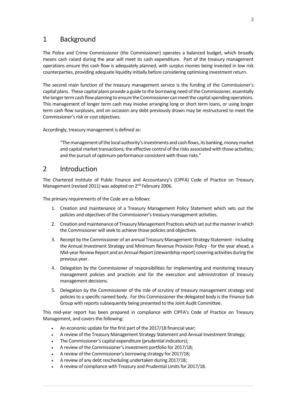### <span id="page-2-0"></span>1 Background

The Police and Crime Commissioner (the Commissioner) operates a balanced budget, which broadly means cash raised during the year will meet its cash expenditure. Part of the treasury management operations ensure this cash flow is adequately planned, with surplus monies being invested in low risk counterparties, providing adequate liquidity initially before considering optimising investment return.

The second main function of the treasury management service is the funding of the Commissioner's capital plans. These capital plans provide a guide to the borrowing need of the Commissioner, essentially the longer term cash flow planning to ensure the Commissioner can meet the capital spending operations. This management of longer term cash may involve arranging long or short term loans, or using longer term cash flow surpluses, and on occasion any debt previously drawn may be restructured to meet the Commissioner's risk or cost objectives.

Accordingly, treasury management is defined as:

"The management of the local authority's investments and cash flows, its banking, money market and capital market transactions; the effective control of the risks associated with those activities; and the pursuit of optimum performance consistent with those risks."

### <span id="page-2-1"></span>2 Introduction

The Chartered Institute of Public Finance and Accountancy's (CIPFA) Code of Practice on Treasury Management (revised 2011) was adopted on 2<sup>nd</sup> February 2006.

The primary requirements of the Code are as follows:

- 1. Creation and maintenance of a Treasury Management Policy Statement which sets out the policies and objectives of the Commissioner's treasury management activities.
- 2. Creation and maintenance of Treasury Management Practices which set out the manner in which the Commissioner will seek to achieve those policies and objectives.
- 3. Receipt by the Commissioner of an annual Treasury Management Strategy Statement including the Annual Investment Strategy and Minimum Revenue Provision Policy - for the year ahead, a Mid-year Review Report and an Annual Report (stewardship report) covering activities during the previous year.
- 4. Delegation by the Commissioner of responsibilities for implementing and monitoring treasury management policies and practices and for the execution and administration of treasury management decisions.
- 5. Delegation by the Commissioner of the role of scrutiny of treasury management strategy and policies to a specific named body. For this Commissioner the delegated body is the Finance Sub Group with reports subsequently being presented to the Joint Audit Committee.

This mid-year report has been prepared in compliance with CIPFA's Code of Practice on Treasury Management, and covers the following:

- An economic update for the first part of the 2017/18 financial year;
- A review of the Treasury Management Strategy Statement and Annual Investment Strategy;
- The Commissioner's capital expenditure (prudential indicators);
- A review of the Commissioner's investment portfolio for 2017/18;
- A review of the Commissioner's borrowing strategy for 2017/18;
- A review of any debt rescheduling undertaken during 2017/18;
- A review of compliance with Treasury and Prudential Limits for 2017/18.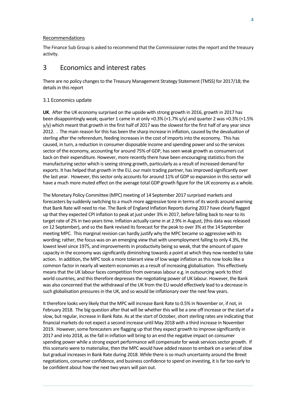#### Recommendations

The Finance Sub Group is asked to recommend that the Commissioner notesthe report and the treasury activity.

### <span id="page-3-0"></span>3 Economics and interest rates

There are no policy changes to the Treasury Management Strategy Statement (TMSS) for 2017/18; the details in this report

#### 3.1 Economics update

**UK**. After the UK economy surprised on the upside with strong growth in 2016, growth in 2017 has been disappointingly weak; quarter 1 came in at only +0.3% (+1.7% y/y) and quarter 2 was +0.3% (+1.5%  $y/y$ ) which meant that growth in the first half of 2017 was the slowest for the first half of any year since 2012. . The main reason for this has been the sharp increase in inflation, caused by the devaluation of sterling after the referendum, feeding increases in the cost of imports into the economy. This has caused, in turn, a reduction in consumer disposable income and spending power and so the services sector of the economy, accounting for around 75% of GDP, has seen weak growth as consumers cut back on their expenditure. However, more recently there have been encouraging statistics from the manufacturing sector which is seeing strong growth, particularly as a result of increased demand for exports. It has helped that growth in the EU, our main trading partner, has improved significantly over the last year. However, this sector only accounts for around 11% of GDP so expansion in this sector will have a much more muted effect on the average total GDP growth figure for the UK economy as a whole.

The Monetary Policy Committee (MPC) meeting of 14 September 2017 surprised markets and forecasters by suddenly switching to a much more aggressive tone in terms of its words around warning that Bank Rate will need to rise. The Bank of England Inflation Reports during 2017 have clearly flagged up that they expected CPI inflation to peak at just under 3% in 2017, before falling back to near to its target rate of 2% in two years time. Inflation actually came in at 2.9% in August, (this data was released on 12 September), and so the Bank revised its forecast for the peak to over 3% at the 14 September meeting MPC. This marginal revision can hardly justify why the MPC became so aggressive with its wording; rather, the focus was on an emerging view that with unemployment falling to only 4.3%, the lowest level since 1975, and improvements in productivity being so weak, that the amount of spare capacity in the economy was significantly diminishing towards a point at which they now needed to take action. In addition, the MPC took a more tolerant view of low wage inflation as this now looks like a common factor in nearly all western economies as a result of increasing globalisation. This effectively means that the UK labour faces competition from overseas labour e.g. in outsourcing work to third world countries, and this therefore depresses the negotiating power of UK labour. However, the Bank was also concerned that the withdrawal of the UK from the EU would effectively lead to a decrease in such globalisation pressures in the UK, and so would be inflationary over the next few years.

It therefore looks very likely that the MPC will increase Bank Rate to 0.5% in November or, if not, in February 2018. The big question after that will be whether this will be a one off increase or the start of a slow, but regular, increase in Bank Rate. As at the start of October, short sterling rates are indicating that financial markets do not expect a second increase until May 2018 with a third increase in November 2019. However, some forecasters are flagging up that they expect growth to improve significantly in 2017 and into 2018, as the fall in inflation will bring to an end the negative impact on consumer spending power while a strong export performance will compensate for weak services sector growth. If this scenario were to materialise, then the MPC would have added reason to embark on a series of slow but gradual increases in Bank Rate during 2018. While there is so much uncertainty around the Brexit negotiations, consumer confidence, and business confidence to spend on investing, it is far too early to be confident about how the next two years will pan out.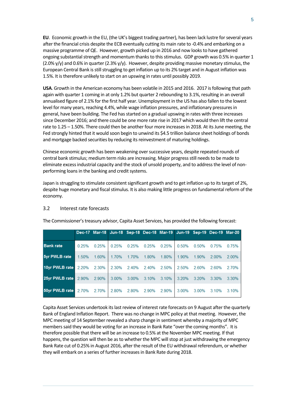**EU**. Economic growth in the EU, (the UK's biggest trading partner), has been lack lustre for several years after the financial crisis despite the ECB eventually cutting its main rate to -0.4% and embarking on a massive programme of QE. However, growth picked up in 2016 and now looks to have gathered ongoing substantial strength and momentum thanks to this stimulus. GDP growth was 0.5% in quarter 1  $(2.0\%$  y/y) and 0.6% in quarter  $(2.3\%$  y/y). However, despite providing massive monetary stimulus, the European Central Bank is still struggling to get inflation up to its 2% target and in August inflation was 1.5%. It is therefore unlikely to start on an upswing in rates until possibly 2019.

**USA**. Growth in the American economy has been volatile in 2015 and 2016. 2017 is following that path again with quarter 1 coming in at only 1.2% but quarter 2 rebounding to 3.1%, resulting in an overall annualised figure of 2.1% for the first half year. Unemployment in the US has also fallen to the lowest level for many years, reaching 4.4%, while wage inflation pressures, and inflationary pressures in general, have been building. The Fed has started on a gradual upswing in rates with three increases since December 2016; and there could be one more rate rise in 2017 which would then lift the central rate to 1.25 – 1.50%. There could then be another four more increases in 2018. At its June meeting, the Fed strongly hinted that it would soon begin to unwind its \$4.5 trillion balance sheet holdings of bonds and mortgage backed securities by reducing its reinvestment of maturing holdings.

Chinese economic growth has been weakening over successive years, despite repeated rounds of central bank stimulus; medium term risks are increasing. Major progress still needs to be made to eliminate excess industrial capacity and the stock of unsold property, and to address the level of nonperforming loans in the banking and credit systems.

Japan is struggling to stimulate consistent significant growth and to get inflation up to its target of 2%, despite huge monetary and fiscal stimulus. It is also making little progress on fundamental reform of the economy.

### 3.2 Interest rate forecasts

|                                   |       |                         |             |       |       |                   |             |             | Dec-17 Mar-18 Jun-18 Sep-18 Dec-18 Mar-19 Jun-19 Sep-19 Dec-19 Mar-20 |       |
|-----------------------------------|-------|-------------------------|-------------|-------|-------|-------------------|-------------|-------------|-----------------------------------------------------------------------|-------|
| <b>Bank</b> rate                  | 0.25% | 0.25%                   | 0.25%       | 0.25% | 0.25% | 0.25%             | 0.50% 0.50% |             | 0.75%                                                                 | 0.75% |
| 5yr PWLB rate                     | 1.50% | 1.60%                   | 1.70%       | 1.70% | 1.80% | 1.80%             | 1.90% 1.90% |             | 2.00%                                                                 | 2.00% |
| 10yr PWLB rate                    |       | 2.20% 2.30% 2.30% 2.40% |             |       | 2.40% | 2.50% 2.50% 2.60% |             |             | 2.60%                                                                 | 2.70% |
| 25yr PWLB rate 2.90% 2.90% 3.00%  |       |                         |             | 3.00% | 3.10% | $3.10\%$          |             | 3.20% 3.20% | 3.30%                                                                 | 3.30% |
| <b>50yr PWLB rate</b> 2.70% 2.70% |       |                         | 2.80% 2.80% |       | 2.90% | $2.90\%$          |             | 3.00% 3.00% | 3.10%                                                                 | 3.10% |

The Commissioner's treasury advisor, Capita Asset Services, has provided the following forecast:

Capita Asset Services undertook its last review of interest rate forecasts on 9 August after the quarterly Bank of England Inflation Report. There was no change in MPC policy at that meeting. However, the MPC meeting of 14 September revealed a sharp change in sentiment whereby a majority of MPC members said they would be voting for an increase in Bank Rate "over the coming months". It is therefore possible that there will be an increase to 0.5% at the November MPC meeting. If that happens, the question will then be as to whether the MPC will stop at just withdrawing the emergency Bank Rate cut of 0.25% in August 2016, after the result of the EU withdrawal referendum, or whether they will embark on a series of further increases in Bank Rate during 2018.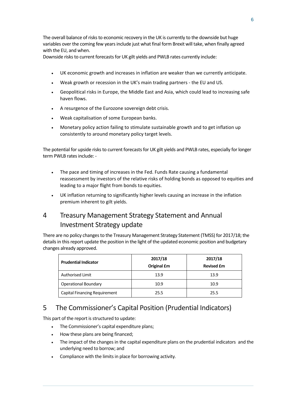The overall balance of risks to economic recovery in the UK is currently to the downside but huge variables over the coming few years include just what final form Brexit will take, when finally agreed with the EU, and when.

Downside risks to current forecasts for UK gilt yields and PWLB rates currently include:

- UK economic growth and increases in inflation are weaker than we currently anticipate.
- Weak growth or recession in the UK's main trading partners the EU and US.
- Geopolitical risks in Europe, the Middle East and Asia, which could lead to increasing safe haven flows.
- A resurgence of the Eurozone sovereign debt crisis.
- Weak capitalisation of some European banks.
- Monetary policy action failing to stimulate sustainable growth and to get inflation up consistently to around monetary policy target levels.

The potential for upside risks to current forecasts for UK gilt yields and PWLB rates, especially for longer term PWLB rates include: -

- The pace and timing of increases in the Fed. Funds Rate causing a fundamental reassessment by investors of the relative risks of holding bonds as opposed to equities and leading to a major flight from bonds to equities.
- UK inflation returning to significantly higher levels causing an increase in the inflation premium inherent to gilt yields.

# 4 Treasury Management Strategy Statement and Annual Investment Strategy update

There are no policy changes to the Treasury Management Strategy Statement (TMSS) for 2017/18; the details in this report update the position in the light of the updated economic position and budgetary changes already approved.

| <b>Prudential Indicator</b>   | 2017/18<br>Original £m | 2017/18<br><b>Revised £m</b> |
|-------------------------------|------------------------|------------------------------|
| Authorised Limit              | 13.9                   | 13.9                         |
| <b>Operational Boundary</b>   | 10.9                   | 10.9                         |
| Capital Financing Requirement | 25.5                   | 25.5                         |

# <span id="page-5-0"></span>5 The Commissioner's Capital Position (Prudential Indicators)

This part of the report is structured to update:

- The Commissioner's capital expenditure plans;
- How these plans are being financed;
- The impact of the changes in the capital expenditure plans on the prudential indicators and the underlying need to borrow; and
- Compliance with the limits in place for borrowing activity*.*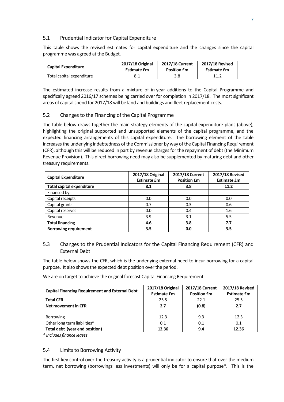#### 5.1 Prudential Indicator for Capital Expenditure

This table shows the revised estimates for capital expenditure and the changes since the capital programme was agreed at the Budget.

| <b>Capital Expenditure</b> | 2017/18 Original   | <b>2017/18 Current</b> | <b>2017/18 Revised</b> |
|----------------------------|--------------------|------------------------|------------------------|
|                            | <b>Estimate £m</b> | <b>Position £m</b>     | Estimate £m            |
| Total capital expenditure  | 8.1                | 3.8                    | 11.2                   |

The estimated increase results from a mixture of in-year additions to the Capital Programme and specifically agreed 2016/17 schemes being carried over for completion in 2017/18. The most significant areas of capital spend for 2017/18 will be land and buildings and fleet replacement costs.

#### 5.2 Changes to the Financing of the Capital Programme

The table below draws together the main strategy elements of the capital expenditure plans (above), highlighting the original supported and unsupported elements of the capital programme, and the expected financing arrangements of this capital expenditure. The borrowing element of the table increases the underlying indebtedness of the Commissioner by way of the Capital Financing Requirement (CFR), although this will be reduced in part by revenue charges for the repayment of debt (the Minimum Revenue Provision). This direct borrowing need may also be supplemented by maturing debt and other treasury requirements.

| <b>Capital Expenditure</b>       | 2017/18 Original<br><b>Estimate £m</b> | 2017/18 Current<br><b>Position £m</b> | 2017/18 Revised<br><b>Estimate £m</b> |
|----------------------------------|----------------------------------------|---------------------------------------|---------------------------------------|
| <b>Total capital expenditure</b> | 8.1                                    | 3.8                                   | 11.2                                  |
| Financed by:                     |                                        |                                       |                                       |
| Capital receipts                 | 0.0                                    | 0.0                                   | 0.0                                   |
| Capital grants                   | 0.7                                    | 0.3                                   | 0.6                                   |
| Capital reserves                 | 0.0                                    | 0.4                                   | 1.6                                   |
| Revenue                          | 3.9                                    | 3.1                                   | 5.5                                   |
| <b>Total financing</b>           | 4.6                                    | 3.8                                   | 7.7                                   |
| <b>Borrowing requirement</b>     | 3.5                                    | 0.0                                   | 3.5                                   |

#### 5.3 Changes to the Prudential Indicators for the Capital Financing Requirement (CFR) and External Debt

The table below shows the CFR, which is the underlying external need to incur borrowing for a capital purpose. It also shows the expected debt position over the period.

We are on target to achieve the original forecast Capital Financing Requirement.

| <b>Capital Financing Requirement and External Debt</b> | 2017/18 Original<br><b>Estimate £m</b> | 2017/18 Current<br><b>Position £m</b> | 2017/18 Revised<br><b>Estimate £m</b> |
|--------------------------------------------------------|----------------------------------------|---------------------------------------|---------------------------------------|
| <b>Total CFR</b>                                       | 25.5                                   | 22.1                                  | 25.5                                  |
| Net movement in CFR                                    | 2.7                                    | (0.8)                                 | 2.7                                   |
|                                                        |                                        |                                       |                                       |
| <b>Borrowing</b>                                       | 12.3                                   | 9.3                                   | 12.3                                  |
| Other long term liabilities*                           | 0.1                                    | 0.1                                   | 0.1                                   |
| Total debt (year end position)                         | 12.36                                  | 9.4                                   | 12.36                                 |

*\* Includes finance leases*

#### 5.4 Limits to Borrowing Activity

The first key control over the treasury activity is a prudential indicator to ensure that over the medium term, net borrowing (borrowings less investments) will only be for a capital purpose\*. This is the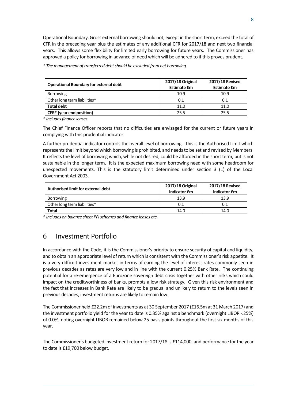Operational Boundary. Gross external borrowing should not, except in the short term, exceed the total of CFR in the preceding year plus the estimates of any additional CFR for 2017/18 and next two financial years. This allows some flexibility for limited early borrowing for future years. The Commissioner has approved a policy for borrowing in advance of need which will be adhered to if this proves prudent.

*\* The management of transferred debt should be excluded from net borrowing.* 

| <b>Operational Boundary for external debt</b> | 2017/18 Original<br><b>Estimate £m</b> | 2017/18 Revised<br><b>Estimate £m</b> |
|-----------------------------------------------|----------------------------------------|---------------------------------------|
| <b>Borrowing</b>                              | 10.9                                   | 10.9                                  |
| Other long term liabilities*                  | 0.1                                    | 0.1                                   |
| <b>Total debt</b>                             | 11.0                                   | 11.0                                  |
| CFR* (year end position)                      | 25.5                                   | 25.5                                  |

*\* Includesfinance leases*

The Chief Finance Officer reports that no difficulties are envisaged for the current or future years in complying with this prudential indicator.

A further prudential indicator controls the overall level of borrowing. This is the Authorised Limit which represents the limit beyond which borrowing is prohibited, and needs to be set and revised by Members. It reflects the level of borrowing which, while not desired, could be afforded in the short term, but is not sustainable in the longer term.It is the expected maximum borrowing need with some headroom for unexpected movements. This is the statutory limit determined under section 3 (1) of the Local Government Act 2003.

| Authorised limit for external debt | 2017/18 Original<br><b>Indicator £m</b> | 2017/18 Revised<br>Indicator £m |
|------------------------------------|-----------------------------------------|---------------------------------|
| <b>Borrowing</b>                   | 13.9                                    | 13.9                            |
| Other long term liabilities*       | 0.1                                     | 0.1                             |
| Total                              | 14.0                                    | 14.0                            |

*\* Includes on balance sheet PFI schemes and finance leases etc.*

### <span id="page-7-0"></span>6 Investment Portfolio

In accordance with the Code, it is the Commissioner's priority to ensure security of capital and liquidity, and to obtain an appropriate level of return which is consistent with the Commissioner's risk appetite. It is a very difficult investment market in terms of earning the level of interest rates commonly seen in previous decades as rates are very low and in line with the current 0.25% Bank Rate. The continuing potential for a re-emergence of a Eurozone sovereign debt crisis together with other risks which could impact on the creditworthiness of banks, prompts a low risk strategy. Given this risk environment and the fact that increases in Bank Rate are likely to be gradual and unlikely to return to the levels seen in previous decades, investment returns are likely to remain low.

The Commissioner held £22.2m of investments as at 30 September 2017 (£16.5m at 31 March 2017) and the investment portfolio yield for the year to date is 0.35% against a benchmark (overnight LIBOR -.25%) of 0.0%, noting overnight LIBOR remained below 25 basis points throughout the first six months of this year.

The Commissioner's budgeted investment return for 2017/18 is £114,000, and performance for the year to date is £19,700 below budget.